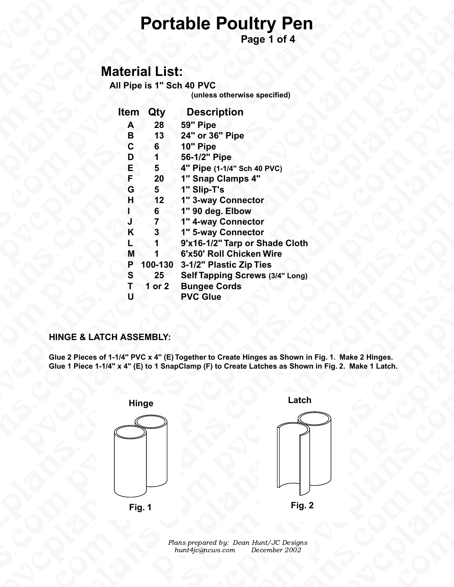### **Material List:**

| <b>Portable Poultry Pe</b>                                |
|-----------------------------------------------------------|
| Page 1 of 4                                               |
| <b>Material List:</b>                                     |
| All Pipe is 1" Sch 40 PVC<br>(unless otherwise specified) |
| <b>Description</b><br>Qty<br><b>Item</b>                  |

|                                    |                 | Page 1 of 4                                                                                                                                                                                              |
|------------------------------------|-----------------|----------------------------------------------------------------------------------------------------------------------------------------------------------------------------------------------------------|
| <b>Material List:</b>              |                 |                                                                                                                                                                                                          |
|                                    |                 | All Pipe is 1" Sch 40 PVC                                                                                                                                                                                |
|                                    |                 | (unless otherwise specified)                                                                                                                                                                             |
| <b>Item</b>                        | Qty             | <b>Description</b>                                                                                                                                                                                       |
| A                                  | 28              | 59" Pipe                                                                                                                                                                                                 |
| B                                  | 13              | 24" or 36" Pipe                                                                                                                                                                                          |
| $\mathbf c$                        | $6\phantom{1}$  | 10" Pipe                                                                                                                                                                                                 |
| D                                  | 1               | 56-1/2" Pipe                                                                                                                                                                                             |
| E                                  | 5               | 4" Pipe (1-1/4" Sch 40 PVC)                                                                                                                                                                              |
| F                                  | 20              | 1" Snap Clamps 4"                                                                                                                                                                                        |
| G                                  | 5 <sup>1</sup>  | 1" Slip-T's                                                                                                                                                                                              |
| H                                  | 12              | 1" 3-way Connector                                                                                                                                                                                       |
|                                    | 6               | 1" 90 deg. Elbow                                                                                                                                                                                         |
|                                    | 7               | 1" 4-way Connector                                                                                                                                                                                       |
| K                                  | 3               | 1" 5-way Connector                                                                                                                                                                                       |
|                                    |                 | 9'x16-1/2" Tarp or Shade Cloth                                                                                                                                                                           |
| M                                  |                 | 6'x50' Roll Chicken Wire                                                                                                                                                                                 |
| P                                  | 100-130         | 3-1/2" Plastic Zip Ties                                                                                                                                                                                  |
| S                                  | 25 <sub>2</sub> | <b>Self Tapping Screws (3/4" Long)</b>                                                                                                                                                                   |
| T                                  | 1 or $21$       | <b>Bungee Cords</b>                                                                                                                                                                                      |
| U                                  |                 | <b>PVC Glue</b>                                                                                                                                                                                          |
| <b>HINGE &amp; LATCH ASSEMBLY:</b> |                 |                                                                                                                                                                                                          |
|                                    |                 | Glue 2 Pieces of 1-1/4" PVC x 4" (E) Together to Create Hinges as Shown in Fig. 1. Make 2 Hinges.<br>Glue 1 Piece 1-1/4" x 4" (E) to 1 SnapClamp (F) to Create Latches as Shown in Fig. 2. Make 1 Latch. |
|                                    |                 |                                                                                                                                                                                                          |
|                                    | <b>Hinge</b>    | Latch                                                                                                                                                                                                    |

### **HINGE & LATCH ASSEMBLY:**



ns prepared by: Dean Hu<br>unt4jc@ncws.com Dea Plans prepared by: Dean Hunt/JC Designs hunt4jc@ncws.com December 2002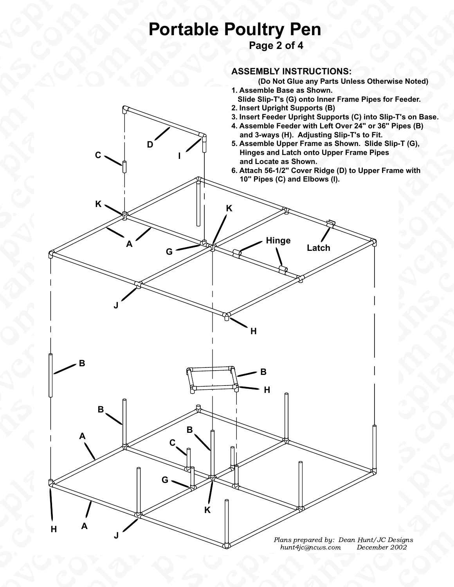# **Portable Poultry Pen**<br>
Page 2 of 4<br>
ASSEMBLY INSTRUC<br>
(Do Not Glue any I **e Poultry Pen**<br>
Page 2 of 4<br>
ASSEMBLY INSTRUCTIONS:<br>
(Do Not Glue any Parts Unles:<br>
1. Assemble Base as Shown.<br>
Slide Slip-T's (G) onto Inner Frame<br>
2. Insert Upright Supports (B)<br>
3. Insert Feeder Upright Supports (C)<br>
4

Propinsi

**Page 2 of 4**







- **Slide Slip-T's (G) onto Inner Frame Pipes for Feeder.**
- **2. Insert Upright Supports (B)**
- **3. Insert Feeder Upright Supports (C) into Slip-T's on Base.**
- eder:<br>; on Base.<br>es (B)<br>(G), **4. Assemble Feeder with Left Over 24" or 36" Pipes (B) and 3-ways (H). Adjusting Slip-T's to Fit.**
- **5. Assemble Upper Frame as Shown. Slide Slip-T (G), Hinges and Latch onto Upper Frame Pipes and Locate as Shown.**

**<sup>6.</sup> Attach 56-1/2" Cover Ridge (D) to Upper Frame with 10" Pipes (C) and Elbows (I).**



esigns<br>002<br>Company of the company of the company of the company of the company of the company of the company of the company of the company of the company of the company of the company of the company of the company of the c Plans prepared by: Dean Hunt/JC Designs hunt4jc@ncws.com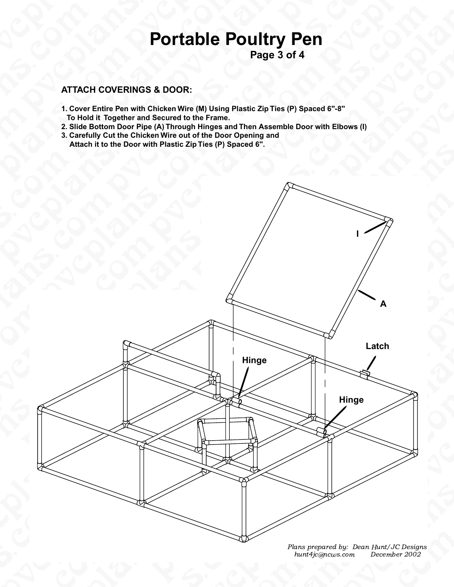### pice is **Portable Poultry Pen**

**Page 3 of 4**

### NS.Com **ATTACH COVERINGS & DOOR:**

- ATTACH COVERING **Portable Poultry Pen**<br>Page 3 of 4<br>RINGS & DOOR:<br>In with Chicken Wire (M) Using Plastic Zip Ties (P) Spaced 6"-8"<br>her and Secured to the Frame.<br>por Pipe (A) Through Hinges and Then Assemble Door with Elbows (<br>e Chicken Wir **Portable Perform of the Conduct of the Conduct of the Conduct of the Conduct of the Conduct of the Conduct of the Conduct of the Conduct of the Conduct of the Conduct of the Conduct of the Conduct of the Conduct of the Co 1. Cover Entire Pen with Chicken Wire (M) Using Plastic Zip Ties (P) Spaced 6"-8" To Hold it Together and Secured to the Frame.**
	- **2. Slide Bottom Door Pipe (A) Through Hinges and Then Assemble Door with Elbows (I)**
	- **3. Carefully Cut the Chicken Wire out of the Door Opening and Attach it to the Door with Plastic Zip Ties (P) Spaced 6".**



hur<br>Composite the composite the set of the set of the set of the set of the set of the set of the set of the set of the set of the set of the set of the set of the set of the set of the set of the set of the set of the set C Designs<br>er 2002<br>Comparation of the Second Second Second Second Second Second Second Second Second Second Second Second Second Plans prepared by: Dean Hunt/JC Designs Plans prepared by: Dean Hunt/JC Designs hunt4jc@ncws.com December 2002 hunt4jc@ncws.com December 2002